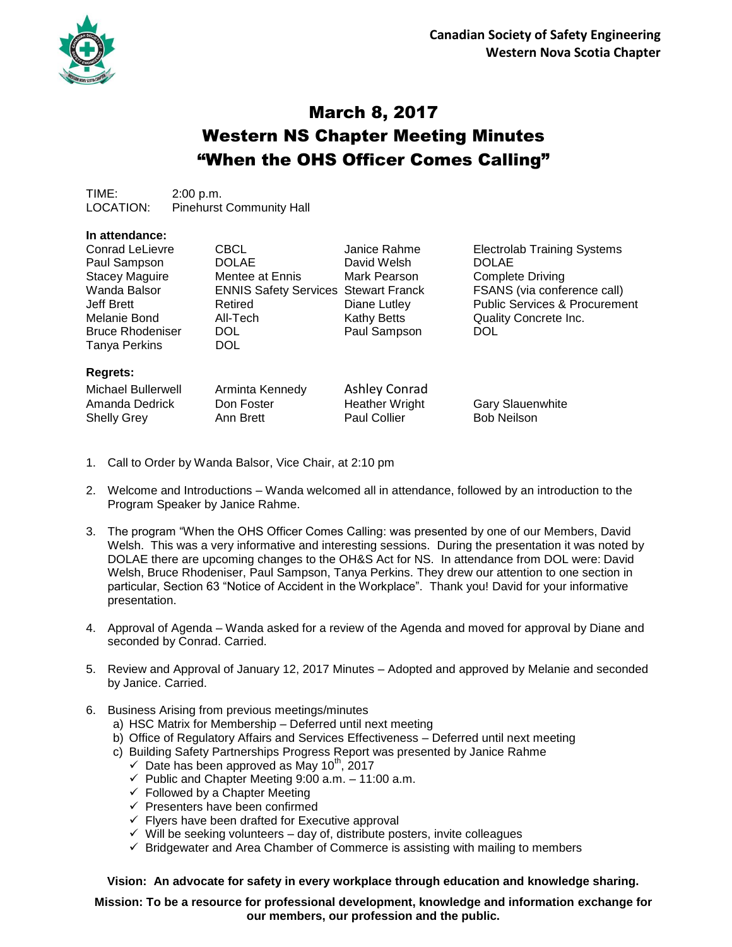

## March 8, 2017 Western NS Chapter Meeting Minutes "When the OHS Officer Comes Calling"

TIME: 2:00 p.m. LOCATION: Pinehurst Community Hall

## **In attendance:**

| <b>CBCL</b>     | Janice Rahme | <b>Electrolab Training Systems</b>          |
|-----------------|--------------|---------------------------------------------|
| <b>DOLAE</b>    | David Welsh  | <b>DOLAE</b>                                |
| Mentee at Ennis | Mark Pearson | <b>Complete Driving</b>                     |
|                 |              | FSANS (via conference call)                 |
| Retired         | Diane Lutley | <b>Public Services &amp; Procurement</b>    |
| All-Tech        | Kathy Betts  | Quality Concrete Inc.                       |
| DOL.            | Paul Sampson | DOL.                                        |
| <b>DOL</b>      |              |                                             |
|                 |              |                                             |
|                 |              | <b>ENNIS Safety Services Stewart Franck</b> |

Michael Bullerwell Arminta Kennedy Ashley Conrad Amanda Dedrick **Don Foster Heather Wright** Gary Slauenwhite Shelly Grey Ann Brett Paul Collier Bob Neilson

- 1. Call to Order by Wanda Balsor, Vice Chair, at 2:10 pm
- 2. Welcome and Introductions Wanda welcomed all in attendance, followed by an introduction to the Program Speaker by Janice Rahme.
- 3. The program "When the OHS Officer Comes Calling: was presented by one of our Members, David Welsh. This was a very informative and interesting sessions. During the presentation it was noted by DOLAE there are upcoming changes to the OH&S Act for NS. In attendance from DOL were: David Welsh, Bruce Rhodeniser, Paul Sampson, Tanya Perkins. They drew our attention to one section in particular, Section 63 "Notice of Accident in the Workplace". Thank you! David for your informative presentation.
- 4. Approval of Agenda Wanda asked for a review of the Agenda and moved for approval by Diane and seconded by Conrad. Carried.
- 5. Review and Approval of January 12, 2017 Minutes Adopted and approved by Melanie and seconded by Janice. Carried.
- 6. Business Arising from previous meetings/minutes
	- a) HSC Matrix for Membership Deferred until next meeting
	- b) Office of Regulatory Affairs and Services Effectiveness Deferred until next meeting
	- c) Building Safety Partnerships Progress Report was presented by Janice Rahme
		- $\checkmark$  Date has been approved as May 10<sup>th</sup>, 2017
		- $\checkmark$  Public and Chapter Meeting 9:00 a.m. 11:00 a.m.
		- $\checkmark$  Followed by a Chapter Meeting
		- $\checkmark$  Presenters have been confirmed
		- $\checkmark$  Flyers have been drafted for Executive approval
		- $\checkmark$  Will be seeking volunteers day of, distribute posters, invite colleagues
		- $\checkmark$  Bridgewater and Area Chamber of Commerce is assisting with mailing to members

**Vision: An advocate for safety in every workplace through education and knowledge sharing.**

**Mission: To be a resource for professional development, knowledge and information exchange for our members, our profession and the public.**